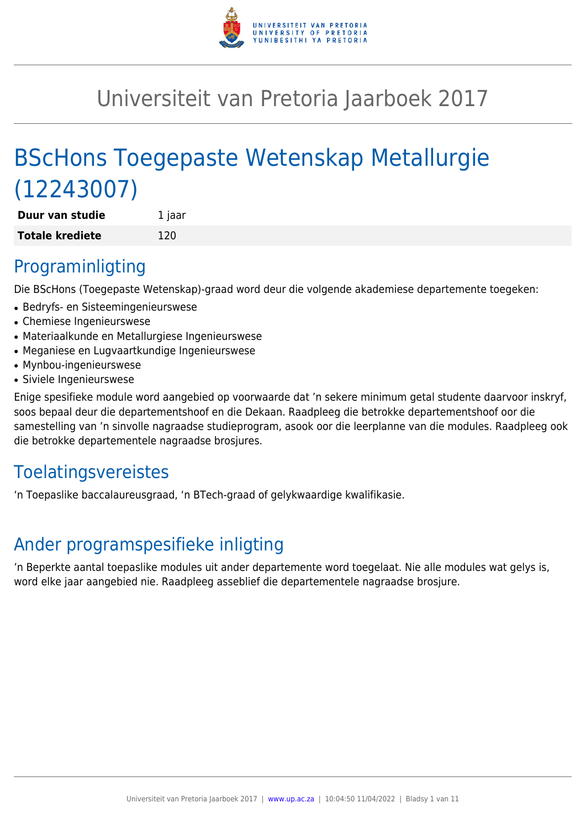

# Universiteit van Pretoria Jaarboek 2017

# BScHons Toegepaste Wetenskap Metallurgie (12243007)

| Duur van studie        | 1 jaar |
|------------------------|--------|
| <b>Totale krediete</b> | 120    |

### Programinligting

Die BScHons (Toegepaste Wetenskap)-graad word deur die volgende akademiese departemente toegeken:

- Bedryfs- en Sisteemingenieurswese
- Chemiese Ingenieurswese
- Materiaalkunde en Metallurgiese Ingenieurswese
- Meganiese en Lugvaartkundige Ingenieurswese
- Mynbou-ingenieurswese
- Siviele Ingenieurswese

Enige spesifieke module word aangebied op voorwaarde dat 'n sekere minimum getal studente daarvoor inskryf, soos bepaal deur die departementshoof en die Dekaan. Raadpleeg die betrokke departementshoof oor die samestelling van 'n sinvolle nagraadse studieprogram, asook oor die leerplanne van die modules. Raadpleeg ook die betrokke departementele nagraadse brosjures.

## **Toelatingsvereistes**

'n Toepaslike baccalaureusgraad, 'n BTech-graad of gelykwaardige kwalifikasie.

## Ander programspesifieke inligting

'n Beperkte aantal toepaslike modules uit ander departemente word toegelaat. Nie alle modules wat gelys is, word elke jaar aangebied nie. Raadpleeg asseblief die departementele nagraadse brosjure.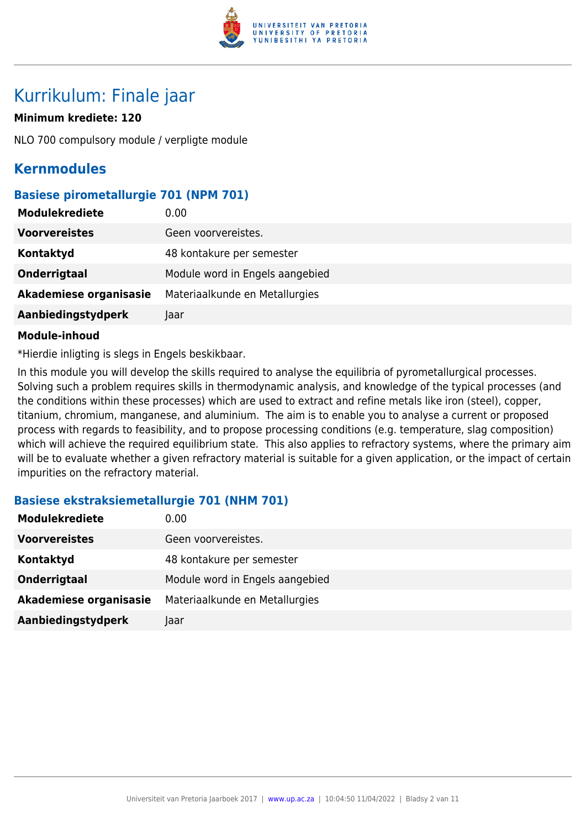

### Kurrikulum: Finale jaar

#### **Minimum krediete: 120**

NLO 700 compulsory module / verpligte module

### **Kernmodules**

#### **Basiese pirometallurgie 701 (NPM 701)**

| <b>Modulekrediete</b>  | 0.00                            |
|------------------------|---------------------------------|
| <b>Voorvereistes</b>   | Geen voorvereistes.             |
| Kontaktyd              | 48 kontakure per semester       |
| Onderrigtaal           | Module word in Engels aangebied |
| Akademiese organisasie | Materiaalkunde en Metallurgies  |
| Aanbiedingstydperk     | Jaar                            |

#### **Module-inhoud**

\*Hierdie inligting is slegs in Engels beskikbaar.

In this module you will develop the skills required to analyse the equilibria of pyrometallurgical processes. Solving such a problem requires skills in thermodynamic analysis, and knowledge of the typical processes (and the conditions within these processes) which are used to extract and refine metals like iron (steel), copper, titanium, chromium, manganese, and aluminium. The aim is to enable you to analyse a current or proposed process with regards to feasibility, and to propose processing conditions (e.g. temperature, slag composition) which will achieve the required equilibrium state. This also applies to refractory systems, where the primary aim will be to evaluate whether a given refractory material is suitable for a given application, or the impact of certain impurities on the refractory material.

#### **Basiese ekstraksiemetallurgie 701 (NHM 701)**

| <b>Modulekrediete</b>  | 0.00                            |
|------------------------|---------------------------------|
| <b>Voorvereistes</b>   | Geen voorvereistes.             |
| Kontaktyd              | 48 kontakure per semester       |
| Onderrigtaal           | Module word in Engels aangebied |
| Akademiese organisasie | Materiaalkunde en Metallurgies  |
| Aanbiedingstydperk     | Jaar                            |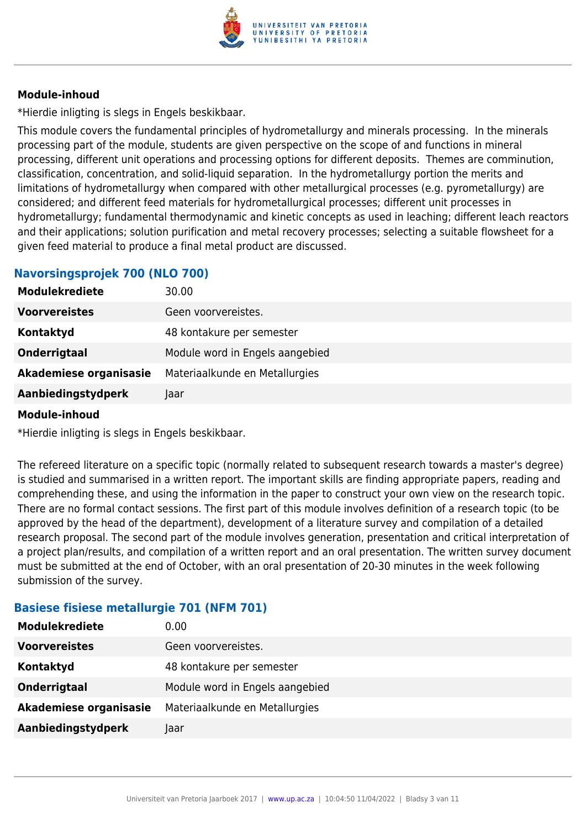

\*Hierdie inligting is slegs in Engels beskikbaar.

This module covers the fundamental principles of hydrometallurgy and minerals processing. In the minerals processing part of the module, students are given perspective on the scope of and functions in mineral processing, different unit operations and processing options for different deposits. Themes are comminution, classification, concentration, and solid-liquid separation. In the hydrometallurgy portion the merits and limitations of hydrometallurgy when compared with other metallurgical processes (e.g. pyrometallurgy) are considered; and different feed materials for hydrometallurgical processes; different unit processes in hydrometallurgy; fundamental thermodynamic and kinetic concepts as used in leaching; different leach reactors and their applications; solution purification and metal recovery processes; selecting a suitable flowsheet for a given feed material to produce a final metal product are discussed.

#### **Navorsingsprojek 700 (NLO 700)**

| <b>Modulekrediete</b>  | 30.00                           |
|------------------------|---------------------------------|
| <b>Voorvereistes</b>   | Geen voorvereistes.             |
| Kontaktyd              | 48 kontakure per semester       |
| Onderrigtaal           | Module word in Engels aangebied |
| Akademiese organisasie | Materiaalkunde en Metallurgies  |
| Aanbiedingstydperk     | Jaar                            |

#### **Module-inhoud**

\*Hierdie inligting is slegs in Engels beskikbaar.

The refereed literature on a specific topic (normally related to subsequent research towards a master's degree) is studied and summarised in a written report. The important skills are finding appropriate papers, reading and comprehending these, and using the information in the paper to construct your own view on the research topic. There are no formal contact sessions. The first part of this module involves definition of a research topic (to be approved by the head of the department), development of a literature survey and compilation of a detailed research proposal. The second part of the module involves generation, presentation and critical interpretation of a project plan/results, and compilation of a written report and an oral presentation. The written survey document must be submitted at the end of October, with an oral presentation of 20-30 minutes in the week following submission of the survey.

#### **Basiese fisiese metallurgie 701 (NFM 701)**

| <b>Modulekrediete</b>  | 0.00                            |
|------------------------|---------------------------------|
| <b>Voorvereistes</b>   | Geen voorvereistes.             |
| Kontaktyd              | 48 kontakure per semester       |
| Onderrigtaal           | Module word in Engels aangebied |
| Akademiese organisasie | Materiaalkunde en Metallurgies  |
| Aanbiedingstydperk     | Jaar                            |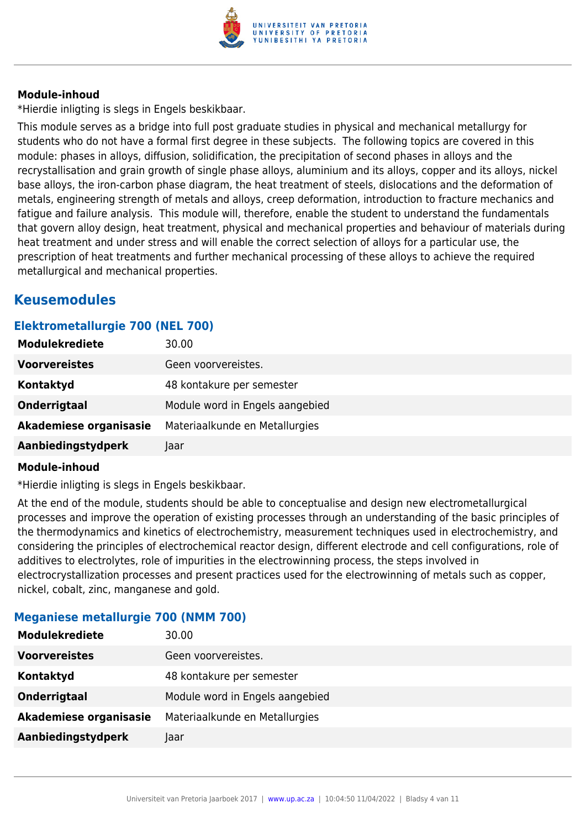

\*Hierdie inligting is slegs in Engels beskikbaar.

This module serves as a bridge into full post graduate studies in physical and mechanical metallurgy for students who do not have a formal first degree in these subjects. The following topics are covered in this module: phases in alloys, diffusion, solidification, the precipitation of second phases in alloys and the recrystallisation and grain growth of single phase alloys, aluminium and its alloys, copper and its alloys, nickel base alloys, the iron-carbon phase diagram, the heat treatment of steels, dislocations and the deformation of metals, engineering strength of metals and alloys, creep deformation, introduction to fracture mechanics and fatigue and failure analysis. This module will, therefore, enable the student to understand the fundamentals that govern alloy design, heat treatment, physical and mechanical properties and behaviour of materials during heat treatment and under stress and will enable the correct selection of alloys for a particular use, the prescription of heat treatments and further mechanical processing of these alloys to achieve the required metallurgical and mechanical properties.

### **Keusemodules**

#### **Elektrometallurgie 700 (NEL 700)**

| <b>Modulekrediete</b>  | 30.00                           |
|------------------------|---------------------------------|
| <b>Voorvereistes</b>   | Geen voorvereistes.             |
| Kontaktyd              | 48 kontakure per semester       |
| Onderrigtaal           | Module word in Engels aangebied |
| Akademiese organisasie | Materiaalkunde en Metallurgies  |
| Aanbiedingstydperk     | Jaar                            |

#### **Module-inhoud**

\*Hierdie inligting is slegs in Engels beskikbaar.

At the end of the module, students should be able to conceptualise and design new electrometallurgical processes and improve the operation of existing processes through an understanding of the basic principles of the thermodynamics and kinetics of electrochemistry, measurement techniques used in electrochemistry, and considering the principles of electrochemical reactor design, different electrode and cell configurations, role of additives to electrolytes, role of impurities in the electrowinning process, the steps involved in electrocrystallization processes and present practices used for the electrowinning of metals such as copper, nickel, cobalt, zinc, manganese and gold.

| <b>Modulekrediete</b>  | 30.00                           |
|------------------------|---------------------------------|
| <b>Voorvereistes</b>   | Geen voorvereistes.             |
| Kontaktyd              | 48 kontakure per semester       |
| Onderrigtaal           | Module word in Engels aangebied |
| Akademiese organisasie | Materiaalkunde en Metallurgies  |
| Aanbiedingstydperk     | Jaar                            |

#### **Meganiese metallurgie 700 (NMM 700)**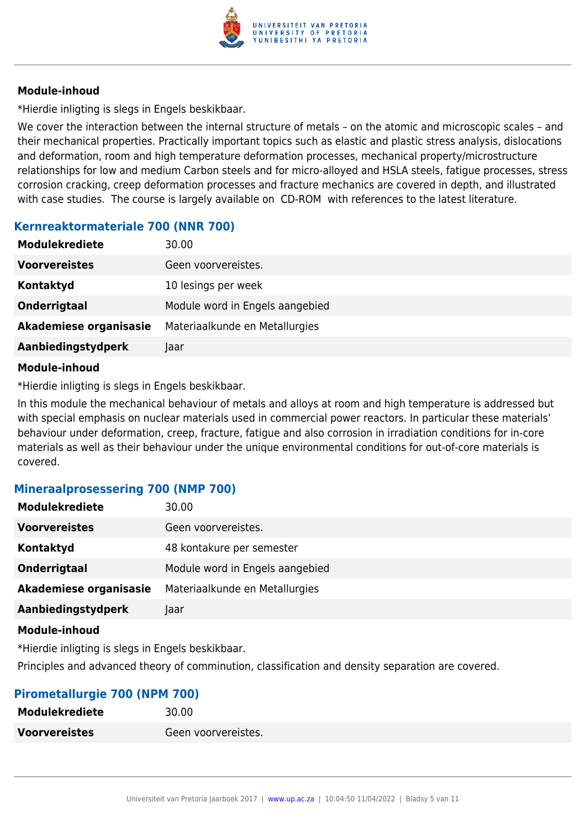

\*Hierdie inligting is slegs in Engels beskikbaar.

We cover the interaction between the internal structure of metals – on the atomic and microscopic scales – and their mechanical properties. Practically important topics such as elastic and plastic stress analysis, dislocations and deformation, room and high temperature deformation processes, mechanical property/microstructure relationships for low and medium Carbon steels and for micro-alloyed and HSLA steels, fatigue processes, stress corrosion cracking, creep deformation processes and fracture mechanics are covered in depth, and illustrated with case studies. The course is largely available on CD-ROM with references to the latest literature.

#### **Kernreaktormateriale 700 (NNR 700)**

| <b>Modulekrediete</b>  | 30.00                           |
|------------------------|---------------------------------|
| <b>Voorvereistes</b>   | Geen voorvereistes.             |
| Kontaktyd              | 10 lesings per week             |
| Onderrigtaal           | Module word in Engels aangebied |
| Akademiese organisasie | Materiaalkunde en Metallurgies  |
| Aanbiedingstydperk     | Jaar                            |

#### **Module-inhoud**

\*Hierdie inligting is slegs in Engels beskikbaar.

In this module the mechanical behaviour of metals and alloys at room and high temperature is addressed but with special emphasis on nuclear materials used in commercial power reactors. In particular these materials' behaviour under deformation, creep, fracture, fatigue and also corrosion in irradiation conditions for in-core materials as well as their behaviour under the unique environmental conditions for out-of-core materials is covered.

#### **Mineraalprosessering 700 (NMP 700)**

| <b>Modulekrediete</b>  | 30.00                           |
|------------------------|---------------------------------|
| <b>Voorvereistes</b>   | Geen voorvereistes.             |
| Kontaktyd              | 48 kontakure per semester       |
| Onderrigtaal           | Module word in Engels aangebied |
| Akademiese organisasie | Materiaalkunde en Metallurgies  |
| Aanbiedingstydperk     | Jaar                            |
|                        |                                 |

#### **Module-inhoud**

\*Hierdie inligting is slegs in Engels beskikbaar. Principles and advanced theory of comminution, classification and density separation are covered.

#### **Pirometallurgie 700 (NPM 700)**

| <b>Modulekrediete</b> | 30.00               |
|-----------------------|---------------------|
| <b>Voorvereistes</b>  | Geen voorvereistes. |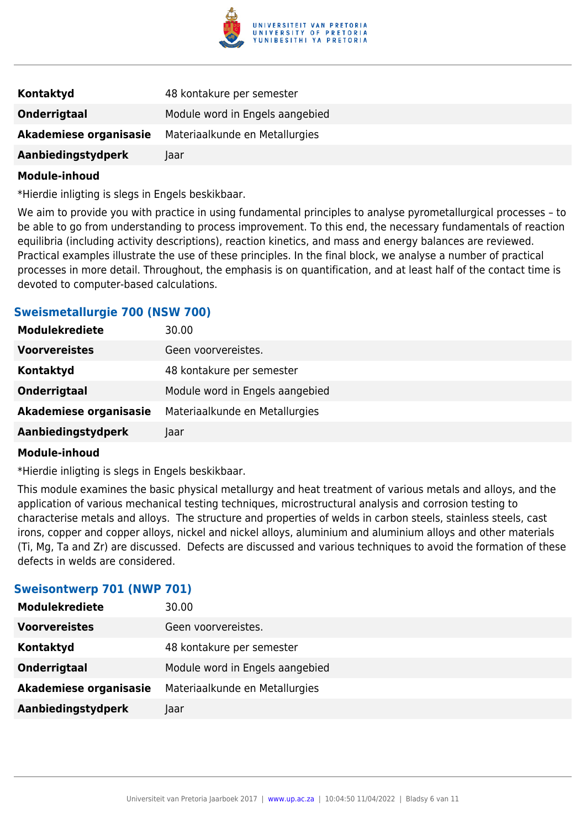

| Kontaktyd              | 48 kontakure per semester       |
|------------------------|---------------------------------|
| <b>Onderrigtaal</b>    | Module word in Engels aangebied |
| Akademiese organisasie | Materiaalkunde en Metallurgies  |
| Aanbiedingstydperk     | Jaar                            |

\*Hierdie inligting is slegs in Engels beskikbaar.

We aim to provide you with practice in using fundamental principles to analyse pyrometallurgical processes – to be able to go from understanding to process improvement. To this end, the necessary fundamentals of reaction equilibria (including activity descriptions), reaction kinetics, and mass and energy balances are reviewed. Practical examples illustrate the use of these principles. In the final block, we analyse a number of practical processes in more detail. Throughout, the emphasis is on quantification, and at least half of the contact time is devoted to computer-based calculations.

#### **Sweismetallurgie 700 (NSW 700)**

| <b>Modulekrediete</b>  | 30.00                           |
|------------------------|---------------------------------|
| <b>Voorvereistes</b>   | Geen voorvereistes.             |
| Kontaktyd              | 48 kontakure per semester       |
| Onderrigtaal           | Module word in Engels aangebied |
| Akademiese organisasie | Materiaalkunde en Metallurgies  |
| Aanbiedingstydperk     | Jaar                            |

#### **Module-inhoud**

\*Hierdie inligting is slegs in Engels beskikbaar.

This module examines the basic physical metallurgy and heat treatment of various metals and alloys, and the application of various mechanical testing techniques, microstructural analysis and corrosion testing to characterise metals and alloys. The structure and properties of welds in carbon steels, stainless steels, cast irons, copper and copper alloys, nickel and nickel alloys, aluminium and aluminium alloys and other materials (Ti, Mg, Ta and Zr) are discussed. Defects are discussed and various techniques to avoid the formation of these defects in welds are considered.

#### **Sweisontwerp 701 (NWP 701)**

| <b>Modulekrediete</b>  | 30.00                           |
|------------------------|---------------------------------|
| <b>Voorvereistes</b>   | Geen voorvereistes.             |
| Kontaktyd              | 48 kontakure per semester       |
| Onderrigtaal           | Module word in Engels aangebied |
| Akademiese organisasie | Materiaalkunde en Metallurgies  |
| Aanbiedingstydperk     | Taar                            |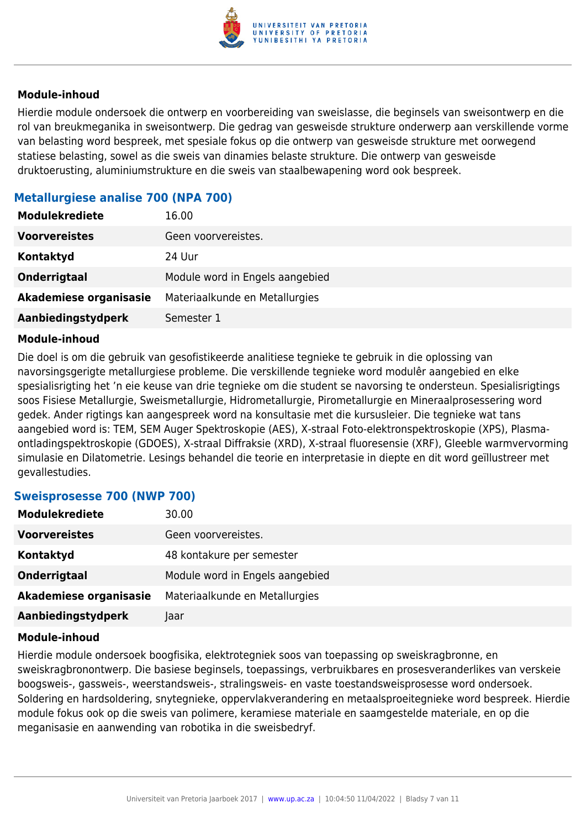

Hierdie module ondersoek die ontwerp en voorbereiding van sweislasse, die beginsels van sweisontwerp en die rol van breukmeganika in sweisontwerp. Die gedrag van gesweisde strukture onderwerp aan verskillende vorme van belasting word bespreek, met spesiale fokus op die ontwerp van gesweisde strukture met oorwegend statiese belasting, sowel as die sweis van dinamies belaste strukture. Die ontwerp van gesweisde druktoerusting, aluminiumstrukture en die sweis van staalbewapening word ook bespreek.

#### **Metallurgiese analise 700 (NPA 700)**

| <b>Modulekrediete</b>  | 16.00                           |
|------------------------|---------------------------------|
| <b>Voorvereistes</b>   | Geen voorvereistes.             |
| Kontaktyd              | 24 Uur                          |
| Onderrigtaal           | Module word in Engels aangebied |
| Akademiese organisasie | Materiaalkunde en Metallurgies  |
| Aanbiedingstydperk     | Semester 1                      |

#### **Module-inhoud**

Die doel is om die gebruik van gesofistikeerde analitiese tegnieke te gebruik in die oplossing van navorsingsgerigte metallurgiese probleme. Die verskillende tegnieke word modulêr aangebied en elke spesialisrigting het 'n eie keuse van drie tegnieke om die student se navorsing te ondersteun. Spesialisrigtings soos Fisiese Metallurgie, Sweismetallurgie, Hidrometallurgie, Pirometallurgie en Mineraalprosessering word gedek. Ander rigtings kan aangespreek word na konsultasie met die kursusleier. Die tegnieke wat tans aangebied word is: TEM, SEM Auger Spektroskopie (AES), X-straal Foto-elektronspektroskopie (XPS), Plasmaontladingspektroskopie (GDOES), X-straal Diffraksie (XRD), X-straal fluoresensie (XRF), Gleeble warmvervorming simulasie en Dilatometrie. Lesings behandel die teorie en interpretasie in diepte en dit word geïllustreer met gevallestudies.

#### **Sweisprosesse 700 (NWP 700)**

| <b>Modulekrediete</b>  | 30.00                           |
|------------------------|---------------------------------|
| <b>Voorvereistes</b>   | Geen voorvereistes.             |
| Kontaktyd              | 48 kontakure per semester       |
| Onderrigtaal           | Module word in Engels aangebied |
| Akademiese organisasie | Materiaalkunde en Metallurgies  |
| Aanbiedingstydperk     | Jaar                            |

#### **Module-inhoud**

Hierdie module ondersoek boogfisika, elektrotegniek soos van toepassing op sweiskragbronne, en sweiskragbronontwerp. Die basiese beginsels, toepassings, verbruikbares en prosesveranderlikes van verskeie boogsweis-, gassweis-, weerstandsweis-, stralingsweis- en vaste toestandsweisprosesse word ondersoek. Soldering en hardsoldering, snytegnieke, oppervlakverandering en metaalsproeitegnieke word bespreek. Hierdie module fokus ook op die sweis van polimere, keramiese materiale en saamgestelde materiale, en op die meganisasie en aanwending van robotika in die sweisbedryf.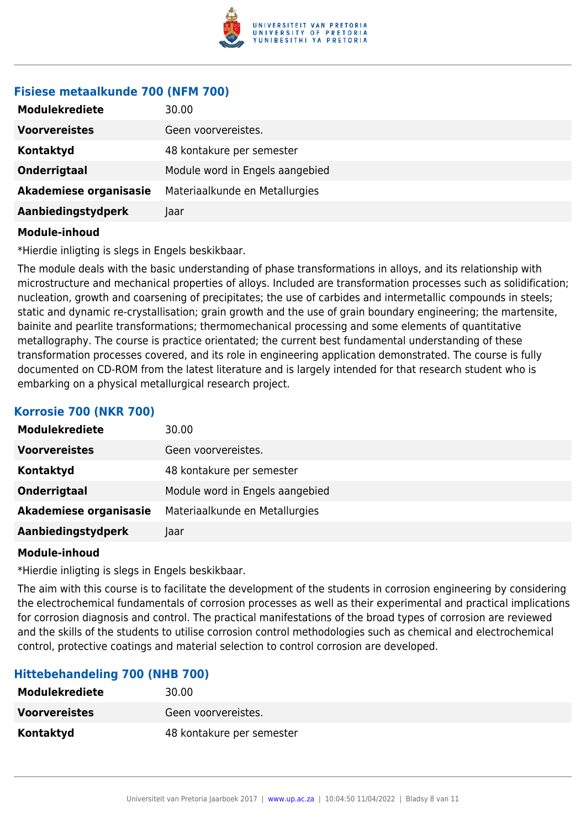

#### **Fisiese metaalkunde 700 (NFM 700)**

| <b>Modulekrediete</b>  | 30.00                           |
|------------------------|---------------------------------|
| <b>Voorvereistes</b>   | Geen voorvereistes.             |
| Kontaktyd              | 48 kontakure per semester       |
| Onderrigtaal           | Module word in Engels aangebied |
| Akademiese organisasie | Materiaalkunde en Metallurgies  |
| Aanbiedingstydperk     | Jaar                            |

#### **Module-inhoud**

\*Hierdie inligting is slegs in Engels beskikbaar.

The module deals with the basic understanding of phase transformations in alloys, and its relationship with microstructure and mechanical properties of alloys. Included are transformation processes such as solidification; nucleation, growth and coarsening of precipitates; the use of carbides and intermetallic compounds in steels; static and dynamic re-crystallisation; grain growth and the use of grain boundary engineering; the martensite, bainite and pearlite transformations; thermomechanical processing and some elements of quantitative metallography. The course is practice orientated; the current best fundamental understanding of these transformation processes covered, and its role in engineering application demonstrated. The course is fully documented on CD-ROM from the latest literature and is largely intended for that research student who is embarking on a physical metallurgical research project.

#### **Korrosie 700 (NKR 700)**

| <b>Modulekrediete</b>  | 30.00                           |
|------------------------|---------------------------------|
| <b>Voorvereistes</b>   | Geen voorvereistes.             |
| Kontaktyd              | 48 kontakure per semester       |
| Onderrigtaal           | Module word in Engels aangebied |
| Akademiese organisasie | Materiaalkunde en Metallurgies  |
| Aanbiedingstydperk     | Jaar                            |

#### **Module-inhoud**

\*Hierdie inligting is slegs in Engels beskikbaar.

The aim with this course is to facilitate the development of the students in corrosion engineering by considering the electrochemical fundamentals of corrosion processes as well as their experimental and practical implications for corrosion diagnosis and control. The practical manifestations of the broad types of corrosion are reviewed and the skills of the students to utilise corrosion control methodologies such as chemical and electrochemical control, protective coatings and material selection to control corrosion are developed.

#### **Hittebehandeling 700 (NHB 700)**

| <b>Modulekrediete</b> | 30.00                     |
|-----------------------|---------------------------|
| <b>Voorvereistes</b>  | Geen voorvereistes.       |
| Kontaktyd             | 48 kontakure per semester |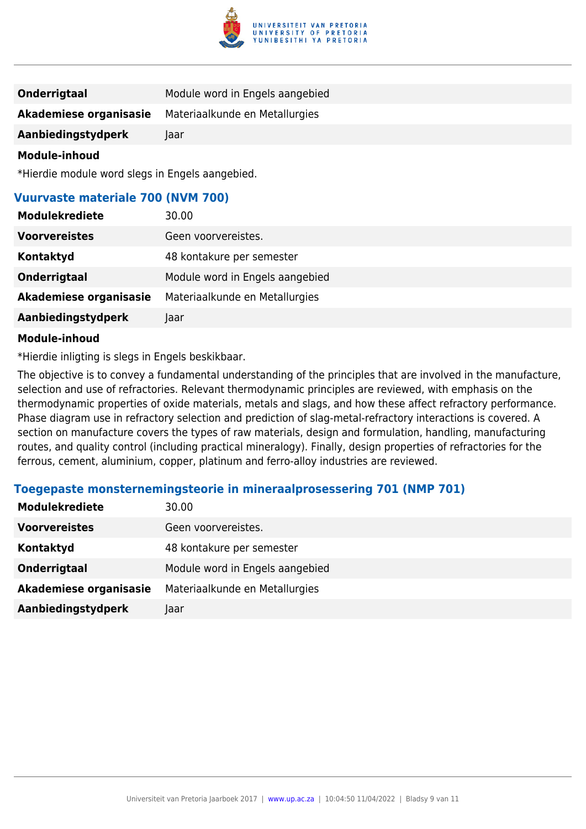

| <b>Onderrigtaal</b>    | Module word in Engels aangebied |
|------------------------|---------------------------------|
| Akademiese organisasie | Materiaalkunde en Metallurgies  |
| Aanbiedingstydperk     | Jaar                            |

\*Hierdie module word slegs in Engels aangebied.

#### **Vuurvaste materiale 700 (NVM 700)**

| <b>Modulekrediete</b>  | 30.00                           |
|------------------------|---------------------------------|
| <b>Voorvereistes</b>   | Geen voorvereistes.             |
| Kontaktyd              | 48 kontakure per semester       |
| Onderrigtaal           | Module word in Engels aangebied |
| Akademiese organisasie | Materiaalkunde en Metallurgies  |
| Aanbiedingstydperk     | Jaar                            |

#### **Module-inhoud**

\*Hierdie inligting is slegs in Engels beskikbaar.

The objective is to convey a fundamental understanding of the principles that are involved in the manufacture, selection and use of refractories. Relevant thermodynamic principles are reviewed, with emphasis on the thermodynamic properties of oxide materials, metals and slags, and how these affect refractory performance. Phase diagram use in refractory selection and prediction of slag-metal-refractory interactions is covered. A section on manufacture covers the types of raw materials, design and formulation, handling, manufacturing routes, and quality control (including practical mineralogy). Finally, design properties of refractories for the ferrous, cement, aluminium, copper, platinum and ferro-alloy industries are reviewed.

#### **Toegepaste monsternemingsteorie in mineraalprosessering 701 (NMP 701)**

| <b>Modulekrediete</b>  | 30.00                           |
|------------------------|---------------------------------|
| <b>Voorvereistes</b>   | Geen voorvereistes.             |
| Kontaktyd              | 48 kontakure per semester       |
| <b>Onderrigtaal</b>    | Module word in Engels aangebied |
| Akademiese organisasie | Materiaalkunde en Metallurgies  |
| Aanbiedingstydperk     | Jaar                            |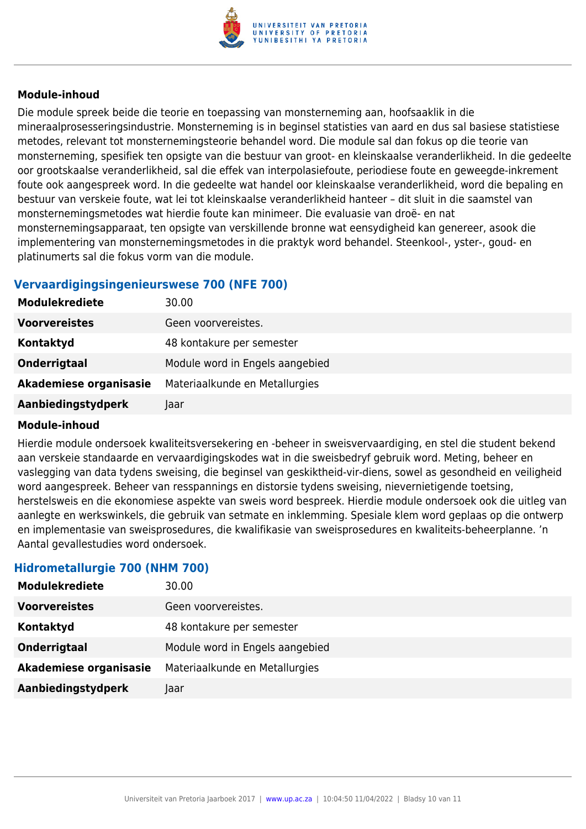

Die module spreek beide die teorie en toepassing van monsterneming aan, hoofsaaklik in die mineraalprosesseringsindustrie. Monsterneming is in beginsel statisties van aard en dus sal basiese statistiese metodes, relevant tot monsternemingsteorie behandel word. Die module sal dan fokus op die teorie van monsterneming, spesifiek ten opsigte van die bestuur van groot- en kleinskaalse veranderlikheid. In die gedeelte oor grootskaalse veranderlikheid, sal die effek van interpolasiefoute, periodiese foute en geweegde-inkrement foute ook aangespreek word. In die gedeelte wat handel oor kleinskaalse veranderlikheid, word die bepaling en bestuur van verskeie foute, wat lei tot kleinskaalse veranderlikheid hanteer – dit sluit in die saamstel van monsternemingsmetodes wat hierdie foute kan minimeer. Die evaluasie van droë- en nat monsternemingsapparaat, ten opsigte van verskillende bronne wat eensydigheid kan genereer, asook die implementering van monsternemingsmetodes in die praktyk word behandel. Steenkool-, yster-, goud- en platinumerts sal die fokus vorm van die module.

#### **Vervaardigingsingenieurswese 700 (NFE 700)**

| <b>Modulekrediete</b>  | 30.00                           |
|------------------------|---------------------------------|
| <b>Voorvereistes</b>   | Geen voorvereistes.             |
| Kontaktyd              | 48 kontakure per semester       |
| Onderrigtaal           | Module word in Engels aangebied |
| Akademiese organisasie | Materiaalkunde en Metallurgies  |
| Aanbiedingstydperk     | Jaar                            |

#### **Module-inhoud**

Hierdie module ondersoek kwaliteitsversekering en -beheer in sweisvervaardiging, en stel die student bekend aan verskeie standaarde en vervaardigingskodes wat in die sweisbedryf gebruik word. Meting, beheer en vaslegging van data tydens sweising, die beginsel van geskiktheid-vir-diens, sowel as gesondheid en veiligheid word aangespreek. Beheer van resspannings en distorsie tydens sweising, nievernietigende toetsing, herstelsweis en die ekonomiese aspekte van sweis word bespreek. Hierdie module ondersoek ook die uitleg van aanlegte en werkswinkels, die gebruik van setmate en inklemming. Spesiale klem word geplaas op die ontwerp en implementasie van sweisprosedures, die kwalifikasie van sweisprosedures en kwaliteits-beheerplanne. 'n Aantal gevallestudies word ondersoek.

#### **Hidrometallurgie 700 (NHM 700)**

| <b>Modulekrediete</b>  | 30.00                           |
|------------------------|---------------------------------|
| <b>Voorvereistes</b>   | Geen voorvereistes.             |
| Kontaktyd              | 48 kontakure per semester       |
| Onderrigtaal           | Module word in Engels aangebied |
| Akademiese organisasie | Materiaalkunde en Metallurgies  |
| Aanbiedingstydperk     | Jaar                            |